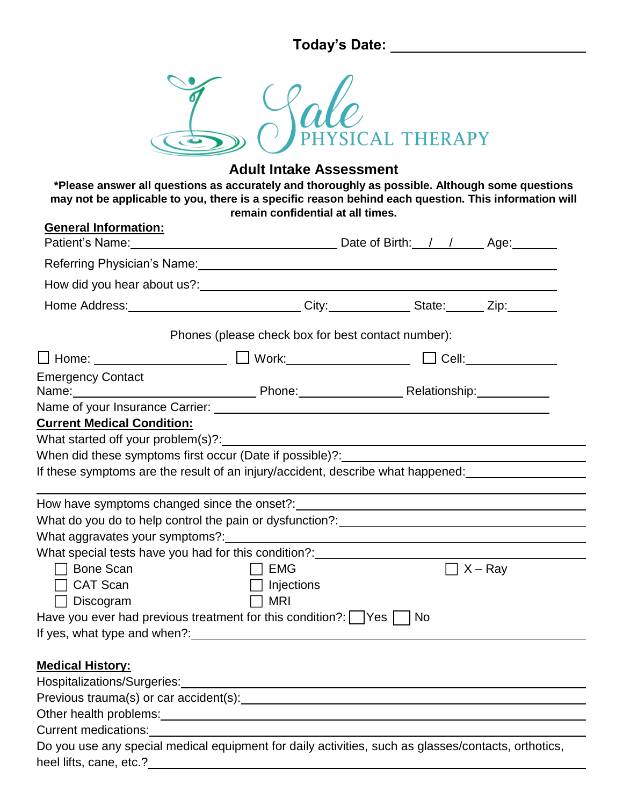**Today's Date:** 



## **Adult Intake Assessment**

**\*Please answer all questions as accurately and thoroughly as possible. Although some questions may not be applicable to you, there is a specific reason behind each question. This information will remain confidential at all times.** 

| <b>General Information:</b>                                                                                                                                                                                                          |                                                    |                |
|--------------------------------------------------------------------------------------------------------------------------------------------------------------------------------------------------------------------------------------|----------------------------------------------------|----------------|
| Referring Physician's Name: Manual According to the Contract of the Contract of the Contract of the Contract of the Contract of the Contract of the Contract of the Contract of the Contract of the Contract of the Contract o       |                                                    |                |
|                                                                                                                                                                                                                                      |                                                    |                |
| Home Address: _______________________________City:______________State: _______Zip:__________________                                                                                                                                 |                                                    |                |
|                                                                                                                                                                                                                                      | Phones (please check box for best contact number): |                |
|                                                                                                                                                                                                                                      |                                                    |                |
| <b>Emergency Contact</b>                                                                                                                                                                                                             |                                                    |                |
|                                                                                                                                                                                                                                      |                                                    |                |
| <b>Current Medical Condition:</b>                                                                                                                                                                                                    |                                                    |                |
|                                                                                                                                                                                                                                      |                                                    |                |
| When did these symptoms first occur (Date if possible)?:                                                                                                                                                                             |                                                    |                |
| If these symptoms are the result of an injury/accident, describe what happened:                                                                                                                                                      |                                                    |                |
|                                                                                                                                                                                                                                      |                                                    |                |
| What do you do to help control the pain or dysfunction?: <u>contract the control of</u> the whole what the whole what                                                                                                                |                                                    |                |
|                                                                                                                                                                                                                                      |                                                    |                |
| What special tests have you had for this condition?: ___________________________                                                                                                                                                     |                                                    |                |
| <b>Bone Scan</b>                                                                                                                                                                                                                     | $\Box$ EMG                                         | $\Box$ X – Ray |
| <b>CAT Scan</b>                                                                                                                                                                                                                      | $\Box$ Injections                                  |                |
| Discogram                                                                                                                                                                                                                            | <b>MRI</b>                                         |                |
| Have you ever had previous treatment for this condition?:     Yes     No                                                                                                                                                             |                                                    |                |
| If yes, what type and when?: The same state of the state of the state of the state of the state of the state of the state of the state of the state of the state of the state of the state of the state of the state of the st       |                                                    |                |
| <b>Medical History:</b>                                                                                                                                                                                                              |                                                    |                |
| Hospitalizations/Surgeries:                                                                                                                                                                                                          |                                                    |                |
|                                                                                                                                                                                                                                      |                                                    |                |
| Other health problems: <u>contract and a set of the set of the set of the set of the set of the set of the set of the set of the set of the set of the set of the set of the set of the set of the set of the set of the set of </u> |                                                    |                |
|                                                                                                                                                                                                                                      |                                                    |                |
| Do you use any special medical equipment for daily activities, such as glasses/contacts, orthotics,                                                                                                                                  |                                                    |                |
|                                                                                                                                                                                                                                      |                                                    |                |